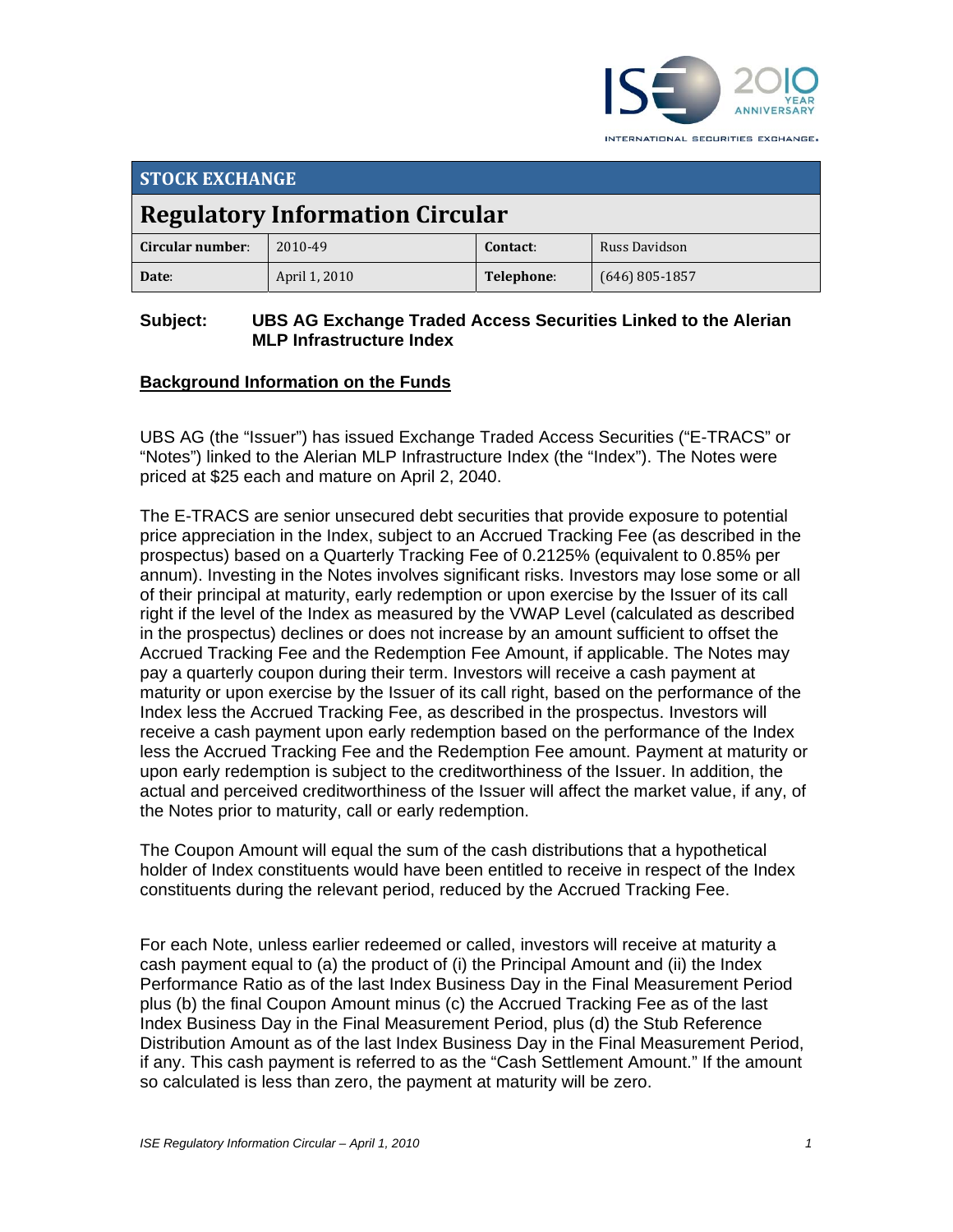

INTERNATIONAL SECURITIES EXCHANGE.

| <b>STOCK EXCHANGE</b>                  |               |            |                  |  |
|----------------------------------------|---------------|------------|------------------|--|
| <b>Regulatory Information Circular</b> |               |            |                  |  |
| Circular number:                       | 2010-49       | Contact:   | Russ Davidson    |  |
| Date:                                  | April 1, 2010 | Telephone: | $(646)$ 805-1857 |  |

#### **Subject: UBS AG Exchange Traded Access Securities Linked to the Alerian MLP Infrastructure Index**

## **Background Information on the Funds**

UBS AG (the "Issuer") has issued Exchange Traded Access Securities ("E-TRACS" or "Notes") linked to the Alerian MLP Infrastructure Index (the "Index"). The Notes were priced at \$25 each and mature on April 2, 2040.

The E-TRACS are senior unsecured debt securities that provide exposure to potential price appreciation in the Index, subject to an Accrued Tracking Fee (as described in the prospectus) based on a Quarterly Tracking Fee of 0.2125% (equivalent to 0.85% per annum). Investing in the Notes involves significant risks. Investors may lose some or all of their principal at maturity, early redemption or upon exercise by the Issuer of its call right if the level of the Index as measured by the VWAP Level (calculated as described in the prospectus) declines or does not increase by an amount sufficient to offset the Accrued Tracking Fee and the Redemption Fee Amount, if applicable. The Notes may pay a quarterly coupon during their term. Investors will receive a cash payment at maturity or upon exercise by the Issuer of its call right, based on the performance of the Index less the Accrued Tracking Fee, as described in the prospectus. Investors will receive a cash payment upon early redemption based on the performance of the Index less the Accrued Tracking Fee and the Redemption Fee amount. Payment at maturity or upon early redemption is subject to the creditworthiness of the Issuer. In addition, the actual and perceived creditworthiness of the Issuer will affect the market value, if any, of the Notes prior to maturity, call or early redemption.

The Coupon Amount will equal the sum of the cash distributions that a hypothetical holder of Index constituents would have been entitled to receive in respect of the Index constituents during the relevant period, reduced by the Accrued Tracking Fee.

For each Note, unless earlier redeemed or called, investors will receive at maturity a cash payment equal to (a) the product of (i) the Principal Amount and (ii) the Index Performance Ratio as of the last Index Business Day in the Final Measurement Period plus (b) the final Coupon Amount minus (c) the Accrued Tracking Fee as of the last Index Business Day in the Final Measurement Period, plus (d) the Stub Reference Distribution Amount as of the last Index Business Day in the Final Measurement Period, if any. This cash payment is referred to as the "Cash Settlement Amount." If the amount so calculated is less than zero, the payment at maturity will be zero.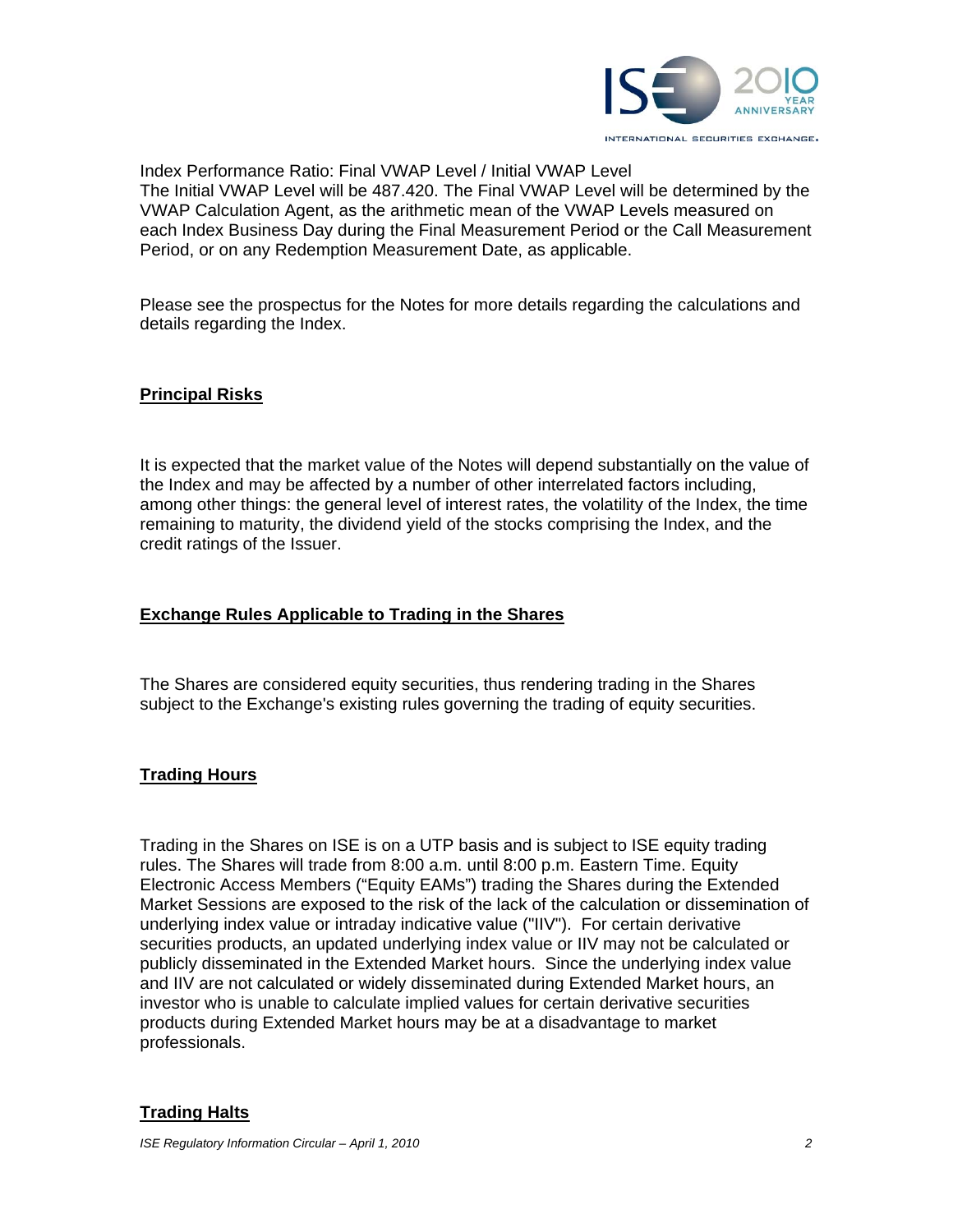

Index Performance Ratio: Final VWAP Level / Initial VWAP Level The Initial VWAP Level will be 487.420. The Final VWAP Level will be determined by the VWAP Calculation Agent, as the arithmetic mean of the VWAP Levels measured on each Index Business Day during the Final Measurement Period or the Call Measurement Period, or on any Redemption Measurement Date, as applicable.

Please see the prospectus for the Notes for more details regarding the calculations and details regarding the Index.

### **Principal Risks**

It is expected that the market value of the Notes will depend substantially on the value of the Index and may be affected by a number of other interrelated factors including, among other things: the general level of interest rates, the volatility of the Index, the time remaining to maturity, the dividend yield of the stocks comprising the Index, and the credit ratings of the Issuer.

## **Exchange Rules Applicable to Trading in the Shares**

The Shares are considered equity securities, thus rendering trading in the Shares subject to the Exchange's existing rules governing the trading of equity securities.

# **Trading Hours**

Trading in the Shares on ISE is on a UTP basis and is subject to ISE equity trading rules. The Shares will trade from 8:00 a.m. until 8:00 p.m. Eastern Time. Equity Electronic Access Members ("Equity EAMs") trading the Shares during the Extended Market Sessions are exposed to the risk of the lack of the calculation or dissemination of underlying index value or intraday indicative value ("IIV"). For certain derivative securities products, an updated underlying index value or IIV may not be calculated or publicly disseminated in the Extended Market hours. Since the underlying index value and IIV are not calculated or widely disseminated during Extended Market hours, an investor who is unable to calculate implied values for certain derivative securities products during Extended Market hours may be at a disadvantage to market professionals.

### **Trading Halts**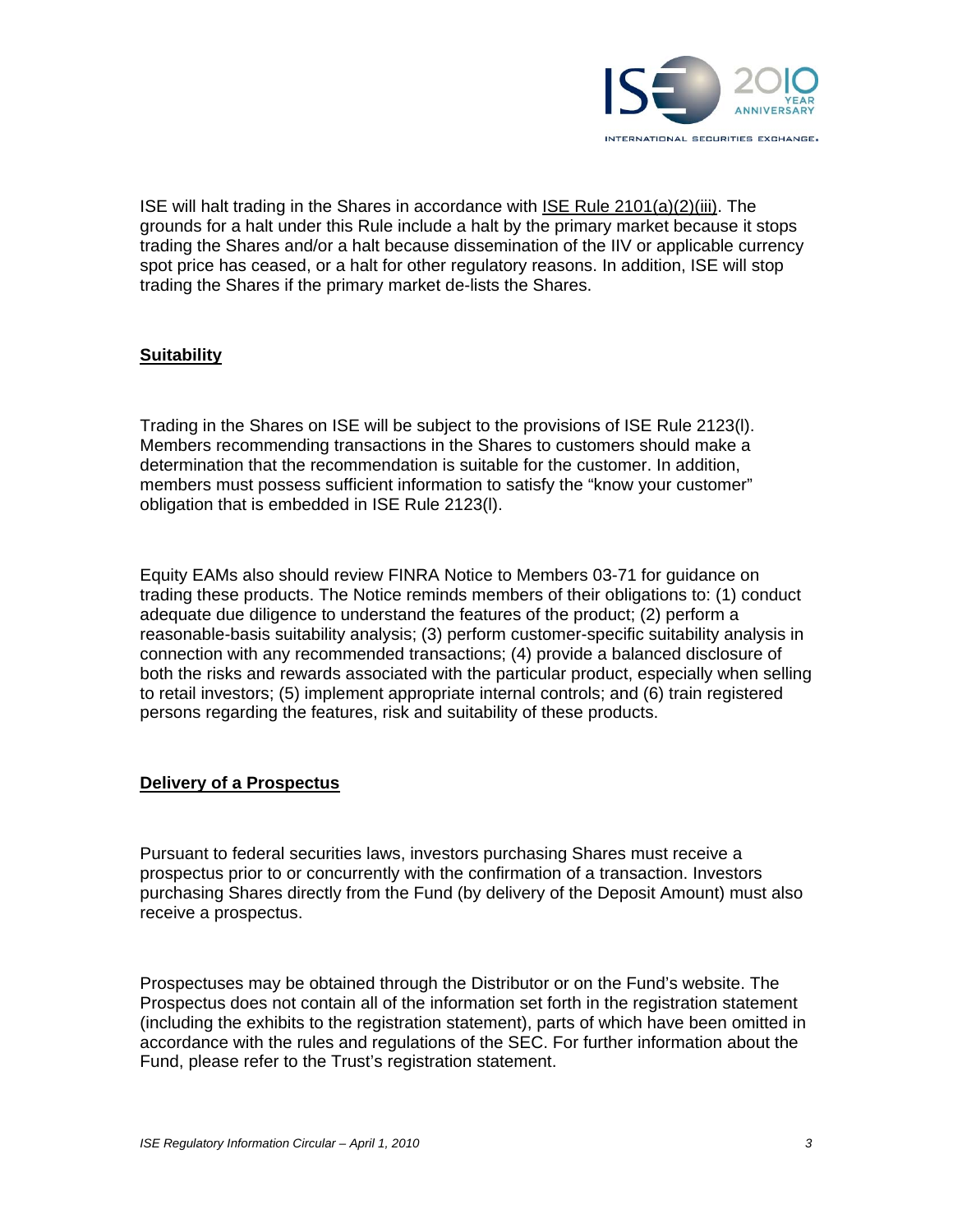

ISE will halt trading in the Shares in accordance with ISE Rule 2101(a)(2)(iii). The grounds for a halt under this Rule include a halt by the primary market because it stops trading the Shares and/or a halt because dissemination of the IIV or applicable currency spot price has ceased, or a halt for other regulatory reasons. In addition, ISE will stop trading the Shares if the primary market de-lists the Shares.

### **Suitability**

Trading in the Shares on ISE will be subject to the provisions of ISE Rule 2123(l). Members recommending transactions in the Shares to customers should make a determination that the recommendation is suitable for the customer. In addition, members must possess sufficient information to satisfy the "know your customer" obligation that is embedded in ISE Rule 2123(l).

Equity EAMs also should review FINRA Notice to Members 03-71 for guidance on trading these products. The Notice reminds members of their obligations to: (1) conduct adequate due diligence to understand the features of the product; (2) perform a reasonable-basis suitability analysis; (3) perform customer-specific suitability analysis in connection with any recommended transactions; (4) provide a balanced disclosure of both the risks and rewards associated with the particular product, especially when selling to retail investors; (5) implement appropriate internal controls; and (6) train registered persons regarding the features, risk and suitability of these products.

### **Delivery of a Prospectus**

Pursuant to federal securities laws, investors purchasing Shares must receive a prospectus prior to or concurrently with the confirmation of a transaction. Investors purchasing Shares directly from the Fund (by delivery of the Deposit Amount) must also receive a prospectus.

Prospectuses may be obtained through the Distributor or on the Fund's website. The Prospectus does not contain all of the information set forth in the registration statement (including the exhibits to the registration statement), parts of which have been omitted in accordance with the rules and regulations of the SEC. For further information about the Fund, please refer to the Trust's registration statement.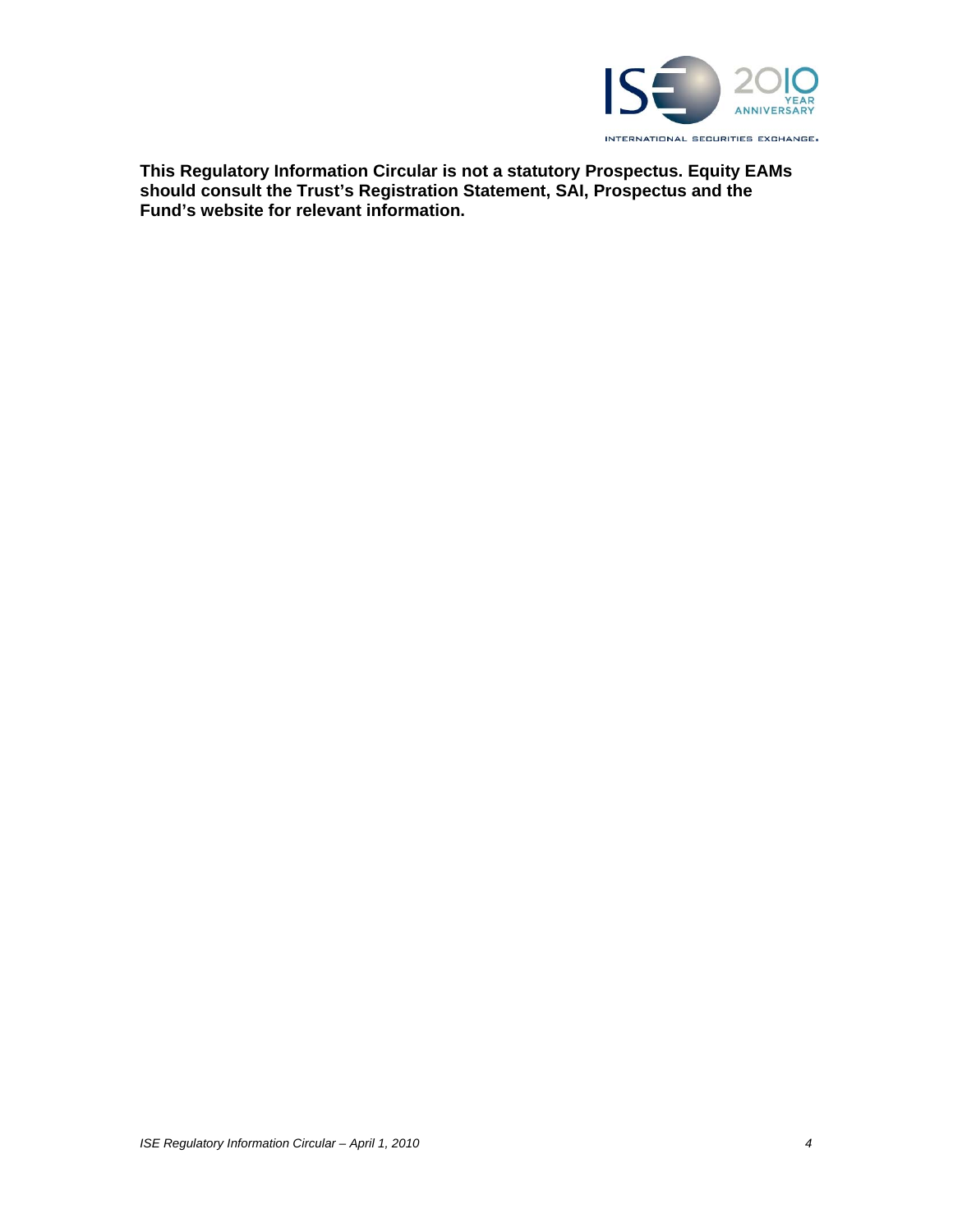

**This Regulatory Information Circular is not a statutory Prospectus. Equity EAMs should consult the Trust's Registration Statement, SAI, Prospectus and the Fund's website for relevant information.**